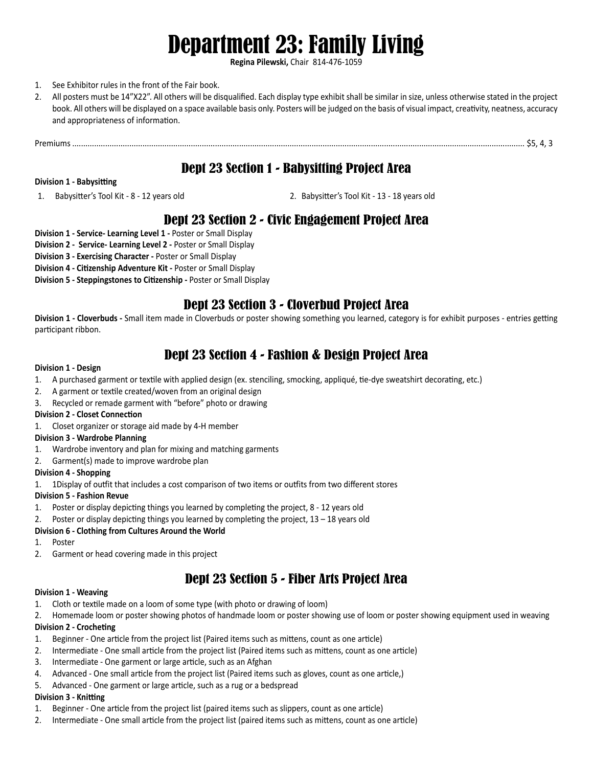# Department 23: Family Living

**Regina Pilewski,** Chair 814-476-1059

## 1. See Exhibitor rules in the front of the Fair book.

2. All posters must be 14"X22". All others will be disqualified. Each display type exhibit shall be similar in size, unless otherwise stated in the project book. All others will be displayed on a space available basis only. Posters will be judged on the basis of visual impact, creativity, neatness, accuracy and appropriateness of information.

Premiums .............................................................................................................................................................................................................. \$5, 4, 3

# Dept 23 Section 1 - Babysitting Project Area

## **Division 1 - Babysitting**

1. Babysitter's Tool Kit - 8 - 12 years old 2. Babysitter's Tool Kit - 13 - 18 years old

# Dept 23 Section 2 - Civic Engagement Project Area

- **Division 1 Service- Learning Level 1** Poster or Small Display
- **Division 2 Service- Learning Level 2** Poster or Small Display

**Division 3 - Exercising Character -** Poster or Small Display

- **Division 4 Citizenship Adventure Kit -** Poster or Small Display
- **Division 5 Steppingstones to Citizenship -** Poster or Small Display

# Dept 23 Section 3 - Cloverbud Project Area

**Division 1 - Cloverbuds -** Small item made in Cloverbuds or poster showing something you learned, category is for exhibit purposes - entries getting participant ribbon.

# Dept 23 Section 4 - Fashion & Design Project Area

## **Division 1 - Design**

- 1. A purchased garment or textile with applied design (ex. stenciling, smocking, appliqué, tie-dye sweatshirt decorating, etc.)
- 2. A garment or textile created/woven from an original design
- 3. Recycled or remade garment with "before" photo or drawing

## **Division 2 - Closet Connection**

1. Closet organizer or storage aid made by 4-H member

## **Division 3 - Wardrobe Planning**

- 1. Wardrobe inventory and plan for mixing and matching garments
- 2. Garment(s) made to improve wardrobe plan

#### **Division 4 - Shopping**

1. 1Display of outfit that includes a cost comparison of two items or outfits from two different stores

## **Division 5 - Fashion Revue**

- 1. Poster or display depicting things you learned by completing the project, 8 12 years old
- 2. Poster or display depicting things you learned by completing the project,  $13 18$  years old

## **Division 6 - Clothing from Cultures Around the World**

- 1. Poster
- 2. Garment or head covering made in this project

# Dept 23 Section 5 - Fiber Arts Project Area

## **Division 1 - Weaving**

- 1. Cloth or textile made on a loom of some type (with photo or drawing of loom)
- 2. Homemade loom or poster showing photos of handmade loom or poster showing use of loom or poster showing equipment used in weaving

## **Division 2 - Crocheting**

- 1. Beginner One article from the project list (Paired items such as mittens, count as one article)
- 2. Intermediate One small article from the project list (Paired items such as mittens, count as one article)
- 3. Intermediate One garment or large article, such as an Afghan
- 4. Advanced One small article from the project list (Paired items such as gloves, count as one article,)
- 5. Advanced One garment or large article, such as a rug or a bedspread

## **Division 3 - Knitting**

- 1. Beginner One article from the project list (paired items such as slippers, count as one article)
- 2. Intermediate One small article from the project list (paired items such as mittens, count as one article)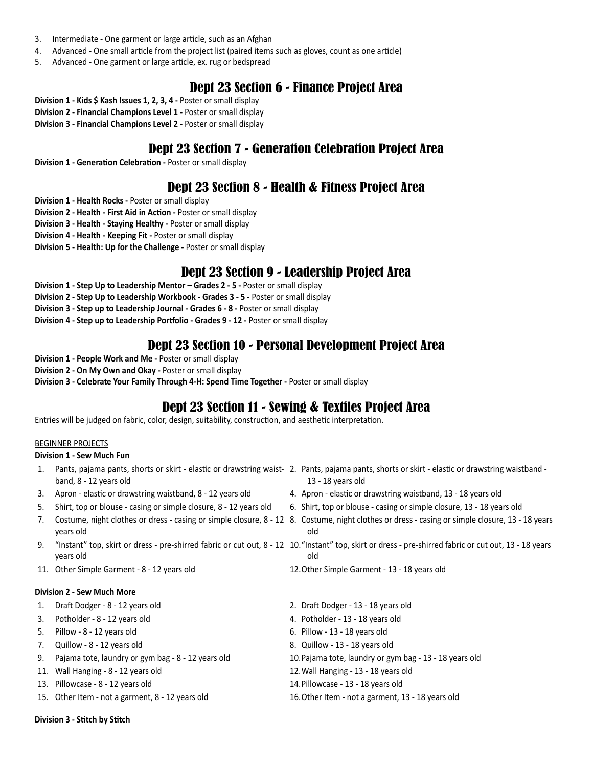- 3. Intermediate One garment or large article, such as an Afghan
- 4. Advanced One small article from the project list (paired items such as gloves, count as one article)
- 5. Advanced One garment or large article, ex. rug or bedspread

# Dept 23 Section 6 - Finance Project Area

- **Division 1 Kids \$ Kash Issues 1, 2, 3, 4** Poster or small display
- **Division 2 Financial Champions Level 1** Poster or small display
- **Division 3 Financial Champions Level 2** Poster or small display

# Dept 23 Section 7 - Generation Celebration Project Area

**Division 1 - Generation Celebration -** Poster or small display

# Dept 23 Section 8 - Health & Fitness Project Area

- **Division 1 Health Rocks** Poster or small display
- **Division 2 Health First Aid in Action** Poster or small display
- **Division 3 Health Staying Healthy** Poster or small display
- **Division 4 Health Keeping Fit** Poster or small display
- **Division 5 Health: Up for the Challenge** Poster or small display

## Dept 23 Section 9 - Leadership Project Area

- **Division 1 Step Up to Leadership Mentor Grades 2 5** Poster or small display
- **Division 2 Step Up to Leadership Workbook Grades 3 5** Poster or small display
- **Division 3 Step up to Leadership Journal Grades 6 8** Poster or small display
- **Division 4 Step up to Leadership Portfolio Grades 9 12** Poster or small display

## Dept 23 Section 10 - Personal Development Project Area

- **Division 1 People Work and Me** Poster or small display
- **Division 2 On My Own and Okay** Poster or small display
- **Division 3 Celebrate Your Family Through 4-H: Spend Time Together** Poster or small display

# Dept 23 Section 11 - Sewing & Textiles Project Area

Entries will be judged on fabric, color, design, suitability, construction, and aesthetic interpretation.

## BEGINNER PROJECTS

## **Division 1 - Sew Much Fun**

- band, 8 12 years old
- 3. Apron elastic or drawstring waistband, 8 12 years old 4. Apron elastic or drawstring waistband, 13 18 years old
- 
- years old
- years old
- 11. Other Simple Garment 8 12 years old 12.Other Simple Garment 13 18 years old

#### **Division 2 - Sew Much More**

- 
- 3. Potholder 8 12 years old 4. Potholder 13 18 years old
- 5. Pillow 8 12 years old 6. Pillow 13 18 years old
- 7. Quillow 8 12 years old 8. Quillow 13 18 years old
- 9. Pajama tote, laundry or gym bag 8 12 years old 10.Pajama tote, laundry or gym bag 13 18 years old
- 11. Wall Hanging 8 12 years old 12.Wall Hanging 13 18 years old
- 13. Pillowcase 8 12 years old 14.Pillowcase 13 18 years old
- 15. Other Item not a garment, 8 12 years old 16.Other Item not a garment, 13 18 years old
- 1. Pants, pajama pants, shorts or skirt elastic or drawstring waist-2. Pants, pajama pants, shorts or skirt elastic or drawstring waistband 13 - 18 years old
	-
- 5. Shirt, top or blouse casing or simple closure, 8 12 years old 6. Shirt, top or blouse casing or simple closure, 13 18 years old
- 7. Costume, night clothes or dress casing or simple closure, 8 12 8. Costume, night clothes or dress casing or simple closure, 13 18 years old
- 9. "Instant" top, skirt or dress pre-shirred fabric or cut out, 8 12 \ 10."Instant" top, skirt or dress pre-shirred fabric or cut out, 13 18 years old
	-
- 1. Draft Dodger 8 12 years old 2. Draft Dodger 13 18 years old
	-
	-
	-
	-
	-
	-
	-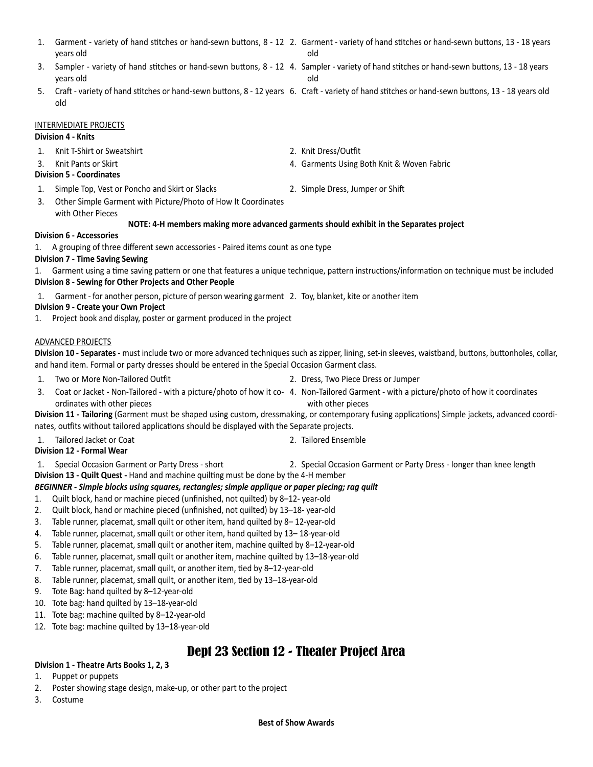- 1. Garment variety of hand stitches or hand-sewn buttons, 8 12 2. Garment variety of hand stitches or hand-sewn buttons, 13 18 years years old old
- 3. Sampler variety of hand stitches or hand-sewn buttons, 8 12 4. Sampler variety of hand stitches or hand-sewn buttons, 13 18 years years old
- 5. Craft variety of hand stitches or hand-sewn buttons, 8 12 years 6. Craft variety of hand stitches or hand-sewn buttons, 13 18 years old old

#### INTERMEDIATE PROJECTS

## **Division 4 - Knits**

- 1. Knit T-Shirt or Sweatshirt 2. Knit Dress/Outfit
- 

## **Division 5 - Coordinates**

- 1. Simple Top, Vest or Poncho and Skirt or Slacks 2. Simple Dress, Jumper or Shift
- 3. Other Simple Garment with Picture/Photo of How It Coordinates with Other Pieces
- 

3. Knit Pants or Skirt 4. Garments Using Both Knit & Woven Fabric

## **NOTE: 4-H members making more advanced garments should exhibit in the Separates project**

## **Division 6 - Accessories**

1. A grouping of three different sewn accessories - Paired items count as one type

## **Division 7 - Time Saving Sewing**

1. Garment using a time saving pattern or one that features a unique technique, pattern instructions/information on technique must be included **Division 8 - Sewing for Other Projects and Other People**

1. Garment - for another person, picture of person wearing garment 2. Toy, blanket, kite or another item

## **Division 9 - Create your Own Project**

1. Project book and display, poster or garment produced in the project

## ADVANCED PROJECTS

**Division 10 - Separates** - must include two or more advanced techniques such as zipper, lining, set-in sleeves, waistband, buttons, buttonholes, collar, and hand item. Formal or party dresses should be entered in the Special Occasion Garment class.

- 1. Two or More Non-Tailored Outfit 2. Dress, Two Piece Dress or Jumper
- 
- 3. Coat or Jacket Non-Tailored with a picture/photo of how it co-4. Non-Tailored Garment with a picture/photo of how it coordinates ordinates with other pieces with other pieces

**Division 11 - Tailoring** (Garment must be shaped using custom, dressmaking, or contemporary fusing applications) Simple jackets, advanced coordinates, outfits without tailored applications should be displayed with the Separate projects.

1. Tailored Jacket or Coat 2. Tailored Ensemble

## **Division 12 - Formal Wear**

- 1. Special Occasion Garment or Party Dress short 2. Special Occasion Garment or Party Dress longer than knee length
- **Division 13 Quilt Quest** Hand and machine quilting must be done by the 4-H member

## *BEGINNER - Simple blocks using squares, rectangles; simple applique or paper piecing; rag quilt*

- 1. Quilt block, hand or machine pieced (unfinished, not quilted) by 8–12- year-old
- 2. Quilt block, hand or machine pieced (unfinished, not quilted) by 13–18- year-old
- 3. Table runner, placemat, small quilt or other item, hand quilted by 8– 12-year-old
- 4. Table runner, placemat, small quilt or other item, hand quilted by 13– 18-year-old
- 5. Table runner, placemat, small quilt or another item, machine quilted by 8–12-year-old
- 6. Table runner, placemat, small quilt or another item, machine quilted by 13–18-year-old
- 7. Table runner, placemat, small quilt, or another item, tied by 8–12-year-old
- 8. Table runner, placemat, small quilt, or another item, tied by 13–18-year-old
- 9. Tote Bag: hand quilted by 8–12-year-old
- 10. Tote bag: hand quilted by 13–18-year-old
- 11. Tote bag: machine quilted by 8–12-year-old
- 12. Tote bag: machine quilted by 13–18-year-old

# Dept 23 Section 12 - Theater Project Area

## **Division 1 - Theatre Arts Books 1, 2, 3**

- 1. Puppet or puppets
- 2. Poster showing stage design, make-up, or other part to the project
- 3. Costume
- 
- old
-